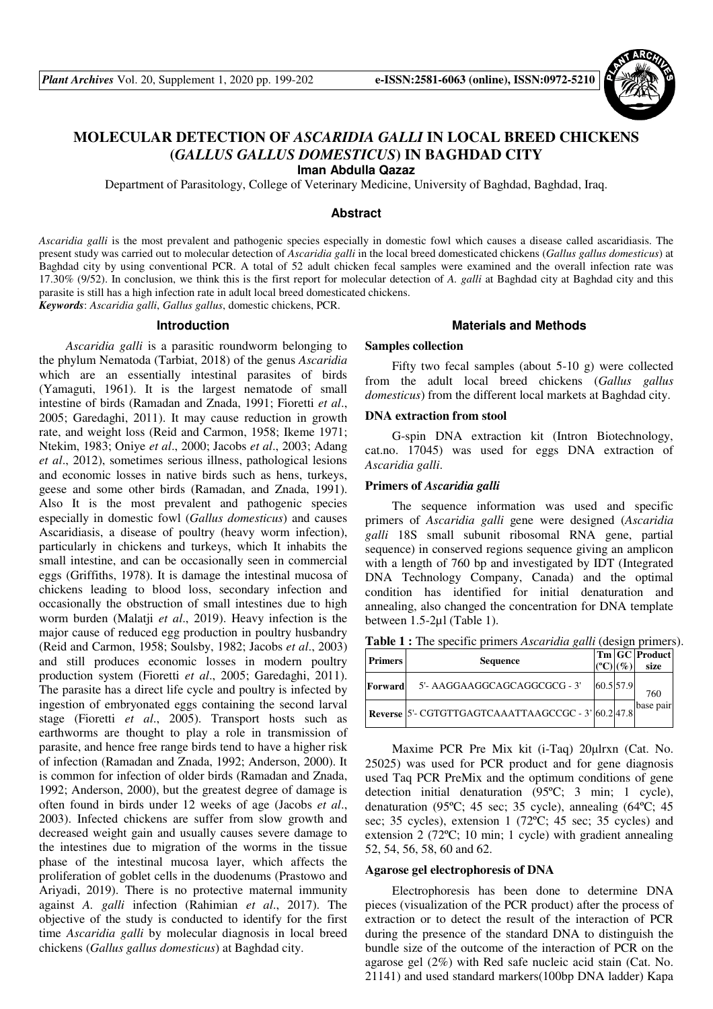

# **MOLECULAR DETECTION OF** *ASCARIDIA GALLI* **IN LOCAL BREED CHICKENS (***GALLUS GALLUS DOMESTICUS***) IN BAGHDAD CITY**

**Iman Abdulla Qazaz** 

Department of Parasitology, College of Veterinary Medicine, University of Baghdad, Baghdad, Iraq.

#### **Abstract**

*Ascaridia galli* is the most prevalent and pathogenic species especially in domestic fowl which causes a disease called ascaridiasis. The present study was carried out to molecular detection of *Ascaridia galli* in the local breed domesticated chickens (*Gallus gallus domesticus*) at Baghdad city by using conventional PCR. A total of 52 adult chicken fecal samples were examined and the overall infection rate was 17.30% (9/52). In conclusion, we think this is the first report for molecular detection of *A. galli* at Baghdad city at Baghdad city and this parasite is still has a high infection rate in adult local breed domesticated chickens. *Keywords*: *Ascaridia galli*, *Gallus gallus*, domestic chickens, PCR.

**Introduction** 

*Ascaridia galli* is a parasitic roundworm belonging to the phylum Nematoda (Tarbiat, 2018) of the genus *Ascaridia* which are an essentially intestinal parasites of birds (Yamaguti, 1961). It is the largest nematode of small intestine of birds (Ramadan and Znada, 1991; Fioretti *et al*., 2005; Garedaghi, 2011). It may cause reduction in growth rate, and weight loss (Reid and Carmon, 1958; Ikeme 1971; Ntekim, 1983; Oniye *et al*., 2000; Jacobs *et al*., 2003; Adang *et al*., 2012), sometimes serious illness, pathological lesions and economic losses in native birds such as hens, turkeys, geese and some other birds (Ramadan, and Znada, 1991). Also It is the most prevalent and pathogenic species especially in domestic fowl (*Gallus domesticus*) and causes Ascaridiasis, a disease of poultry (heavy worm infection), particularly in chickens and turkeys, which It inhabits the small intestine, and can be occasionally seen in commercial eggs (Griffiths, 1978). It is damage the intestinal mucosa of chickens leading to blood loss, secondary infection and occasionally the obstruction of small intestines due to high worm burden (Malatji *et al*., 2019). Heavy infection is the major cause of reduced egg production in poultry husbandry (Reid and Carmon, 1958; Soulsby, 1982; Jacobs *et al*., 2003) and still produces economic losses in modern poultry production system (Fioretti *et al*., 2005; Garedaghi, 2011). The parasite has a direct life cycle and poultry is infected by ingestion of embryonated eggs containing the second larval stage (Fioretti *et al*., 2005). Transport hosts such as earthworms are thought to play a role in transmission of parasite, and hence free range birds tend to have a higher risk of infection (Ramadan and Znada, 1992; Anderson, 2000). It is common for infection of older birds (Ramadan and Znada, 1992; Anderson, 2000), but the greatest degree of damage is often found in birds under 12 weeks of age (Jacobs *et al*., 2003). Infected chickens are suffer from slow growth and decreased weight gain and usually causes severe damage to the intestines due to migration of the worms in the tissue phase of the intestinal mucosa layer, which affects the proliferation of goblet cells in the duodenums (Prastowo and Ariyadi, 2019). There is no protective maternal immunity against *A. galli* infection (Rahimian *et al*., 2017). The objective of the study is conducted to identify for the first time *Ascaridia galli* by molecular diagnosis in local breed chickens (*Gallus gallus domesticus*) at Baghdad city.

#### **Materials and Methods**

### **Samples collection**

Fifty two fecal samples (about 5-10 g) were collected from the adult local breed chickens (*Gallus gallus domesticus*) from the different local markets at Baghdad city.

#### **DNA extraction from stool**

G-spin DNA extraction kit (Intron Biotechnology, cat.no. 17045) was used for eggs DNA extraction of *Ascaridia galli*.

#### **Primers of** *Ascaridia galli*

The sequence information was used and specific primers of *Ascaridia galli* gene were designed (*Ascaridia galli* 18S small subunit ribosomal RNA gene, partial sequence) in conserved regions sequence giving an amplicon with a length of 760 bp and investigated by IDT (Integrated DNA Technology Company, Canada) and the optimal condition has identified for initial denaturation and annealing, also changed the concentration for DNA template between 1.5-2µl (Table 1).

**Table 1 :** The specific primers *Ascaridia galli* (design primers).

| <b>Primers</b> | <b>Sequence</b>                                    |           | $\sigma$ | Tm GC Product<br>size |
|----------------|----------------------------------------------------|-----------|----------|-----------------------|
| Forward        | 5'- AAGGAAGGCAGCAGGCGCG - 3'                       | 60.5 57.9 |          | 760                   |
|                | Reverse 5'- CGTGTTGAGTCAAATTAAGCCGC - 3' 60.2 47.8 |           |          | base pair             |

Maxime PCR Pre Mix kit (i-Taq) 20µlrxn (Cat. No. 25025) was used for PCR product and for gene diagnosis used Taq PCR PreMix and the optimum conditions of gene detection initial denaturation (95ºC; 3 min; 1 cycle), denaturation (95ºC; 45 sec; 35 cycle), annealing (64ºC; 45 sec; 35 cycles), extension 1 (72ºC; 45 sec; 35 cycles) and extension 2 (72ºC; 10 min; 1 cycle) with gradient annealing 52, 54, 56, 58, 60 and 62.

#### **Agarose gel electrophoresis of DNA**

Electrophoresis has been done to determine DNA pieces (visualization of the PCR product) after the process of extraction or to detect the result of the interaction of PCR during the presence of the standard DNA to distinguish the bundle size of the outcome of the interaction of PCR on the agarose gel (2%) with Red safe nucleic acid stain (Cat. No. 21141) and used standard markers(100bp DNA ladder) Kapa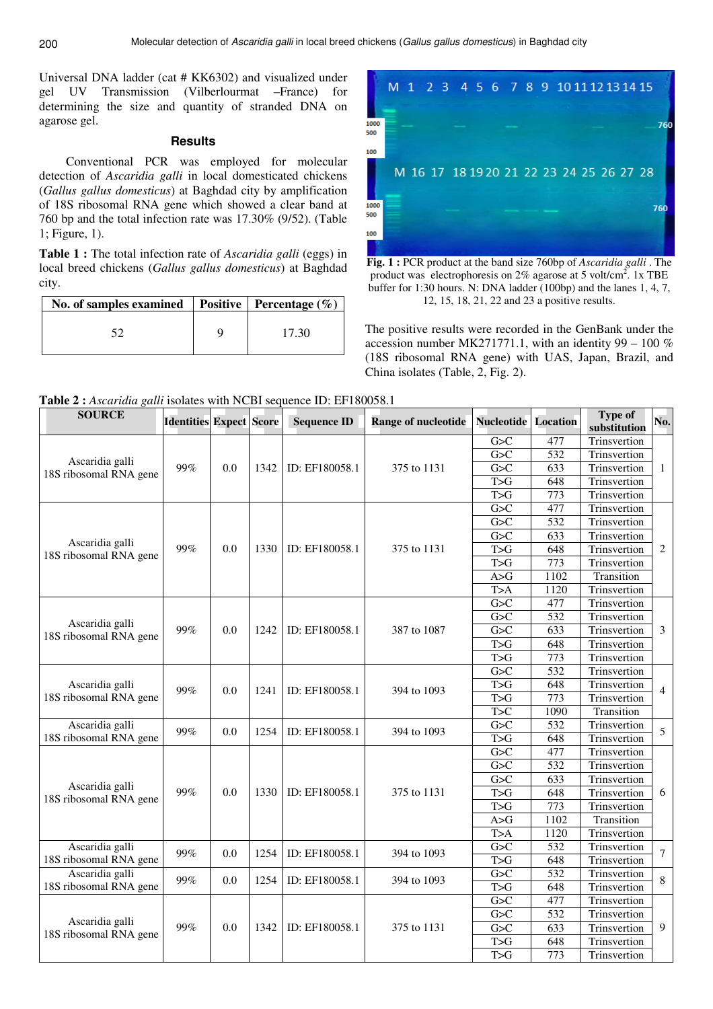Universal DNA ladder (cat # KK6302) and visualized under gel UV Transmission (Vilberlourmat –France) for determining the size and quantity of stranded DNA on agarose gel.

## **Results**

Conventional PCR was employed for molecular detection of *Ascaridia galli* in local domesticated chickens (*Gallus gallus domesticus*) at Baghdad city by amplification of 18S ribosomal RNA gene which showed a clear band at 760 bp and the total infection rate was 17.30% (9/52). (Table 1; Figure, 1).

**Table 1 :** The total infection rate of *Ascaridia galli* (eggs) in local breed chickens (*Gallus gallus domesticus*) at Baghdad city.

| No. of samples examined | Positive   Percentage $(\% )$ |
|-------------------------|-------------------------------|
|                         | 17.30                         |



**Fig. 1 :** PCR product at the band size 760bp of *Ascaridia galli* . The product was electrophoresis on  $2\%$  agarose at 5 volt/cm<sup>2</sup>. 1x TBE buffer for 1:30 hours. N: DNA ladder (100bp) and the lanes 1, 4, 7, 12, 15, 18, 21, 22 and 23 a positive results.

The positive results were recorded in the GenBank under the accession number MK271771.1, with an identity 99 – 100 % (18S ribosomal RNA gene) with UAS, Japan, Brazil, and China isolates (Table, 2, Fig. 2).

**Table 2 :** *Ascaridia galli* isolates with NCBI sequence ID: EF180058.1

| <b>SOURCE</b>                             | <b>Identities Expect Score</b> |     |      | <b>Sequence ID</b> | <b>Range of nucleotide</b> | <b>Nucleotide</b> Location |                  | <b>Type of</b><br>substitution | No.            |
|-------------------------------------------|--------------------------------|-----|------|--------------------|----------------------------|----------------------------|------------------|--------------------------------|----------------|
|                                           | 99%                            |     |      | ID: EF180058.1     | 375 to 1131                | G>C                        | 477              | Trinsvertion                   |                |
|                                           |                                |     | 1342 |                    |                            | G>C                        | $\overline{532}$ | Trinsvertion                   |                |
| Ascaridia galli<br>18S ribosomal RNA gene |                                | 0.0 |      |                    |                            | G>C                        | 633              | Trinsvertion                   | $\mathbf{1}$   |
|                                           |                                |     |      |                    |                            | T>G                        | 648              | Trinsvertion                   |                |
|                                           |                                |     |      |                    |                            | T>G                        | 773              | Trinsvertion                   |                |
|                                           | 99%                            |     | 1330 | ID: EF180058.1     | 375 to 1131                | G>C                        | 477              | Trinsvertion                   |                |
|                                           |                                | 0.0 |      |                    |                            | G>C                        | $\overline{532}$ | Trinsvertion                   |                |
| Ascaridia galli                           |                                |     |      |                    |                            | G>C                        | 633              | Trinsvertion                   | 2              |
| 18S ribosomal RNA gene                    |                                |     |      |                    |                            | T>G                        | 648              | Trinsvertion                   |                |
|                                           |                                |     |      |                    |                            | T>G                        | $\overline{773}$ | Trinsvertion                   |                |
|                                           |                                |     |      |                    |                            | A>G                        | 1102             | Transition                     |                |
|                                           |                                |     |      |                    |                            | T>A                        | 1120             | Trinsvertion                   |                |
|                                           |                                |     | 1242 | ID: EF180058.1     | 387 to 1087                | G>C                        | 477              | Trinsvertion                   |                |
| Ascaridia galli                           |                                | 0.0 |      |                    |                            | G>C                        | $\overline{532}$ | Trinsvertion                   |                |
| 18S ribosomal RNA gene                    | 99%                            |     |      |                    |                            | G > C                      | 633              | Trinsvertion                   | 3              |
|                                           |                                |     |      |                    |                            | T>G                        | 648              | Trinsvertion                   |                |
|                                           |                                |     |      |                    |                            | T>G                        | 773              | Trinsvertion                   |                |
|                                           | 99%                            |     | 1241 | ID: EF180058.1     | 394 to 1093                | G > C                      | $\overline{532}$ | Trinsvertion                   | $\overline{4}$ |
| Ascaridia galli                           |                                | 0.0 |      |                    |                            | T>G                        | 648              | Trinsvertion                   |                |
| 18S ribosomal RNA gene                    |                                |     |      |                    |                            | T>G                        | 773              | Trinsvertion                   |                |
|                                           |                                |     |      |                    |                            | $\overline{T} > C$         | 1090             | Transition                     |                |
| Ascaridia galli                           | 99%                            | 0.0 | 1254 | ID: EF180058.1     | 394 to 1093                | G>C                        | $\overline{532}$ | Trinsvertion                   | 5              |
| 18S ribosomal RNA gene                    |                                |     |      |                    |                            | $\overline{T > G}$         | 648              | Trinsvertion                   |                |
|                                           | 99%                            |     |      | ID: EF180058.1     | 375 to 1131                | G>C                        | 477              | Trinsvertion                   | 6              |
|                                           |                                |     |      |                    |                            | G>C                        | 532              | Trinsvertion                   |                |
| Ascaridia galli                           |                                |     |      |                    |                            | G>C                        | 633              | Trinsvertion                   |                |
| 18S ribosomal RNA gene                    |                                | 0.0 | 1330 |                    |                            | T>G                        | 648              | Trinsvertion                   |                |
|                                           |                                |     |      |                    |                            | T>G                        | 773              | Trinsvertion                   |                |
|                                           |                                |     |      |                    |                            | A>G                        | 1102             | Transition                     |                |
|                                           |                                |     |      |                    |                            | T>A                        | 1120             | Trinsvertion                   |                |
| Ascaridia galli                           | 99%                            | 0.0 | 1254 | ID: EF180058.1     | 394 to 1093                | G>C                        | 532              | Trinsvertion                   | $\overline{7}$ |
| 18S ribosomal RNA gene                    |                                |     |      |                    |                            | T>G                        | 648              | Trinsvertion                   |                |
| Ascaridia galli                           | 99%                            | 0.0 | 1254 | ID: EF180058.1     | 394 to 1093                | G>C                        | 532              | Trinsvertion                   | $\,$ 8 $\,$    |
| 18S ribosomal RNA gene                    |                                |     |      |                    |                            | $\overline{T > G}$         | 648              | Trinsvertion                   |                |
|                                           | 99%                            |     |      |                    | 375 to 1131                | G>C                        | 477              | Trinsvertion                   |                |
| Ascaridia galli                           |                                |     |      | ID: EF180058.1     |                            | G>C                        | $\overline{532}$ | Trinsvertion                   |                |
| 18S ribosomal RNA gene                    |                                | 0.0 | 1342 |                    |                            | G>C                        | 633              | Trinsvertion                   | 9              |
|                                           |                                |     |      |                    |                            | T>G                        | 648              | Trinsvertion                   |                |
|                                           |                                |     |      |                    |                            | T>G                        | 773              | Trinsvertion                   |                |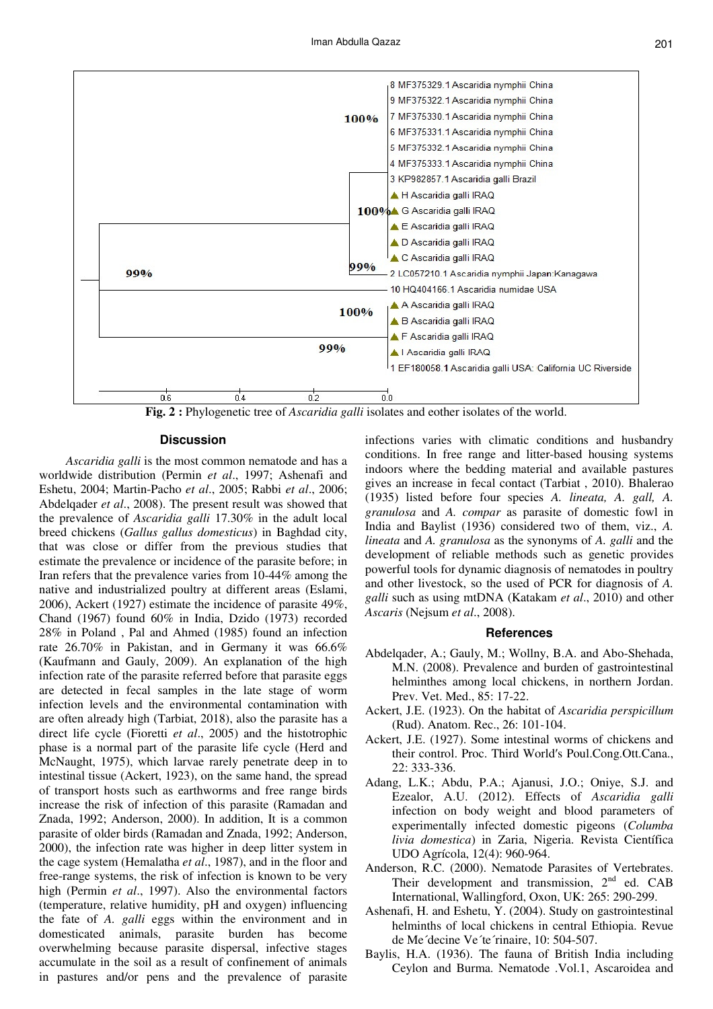

**Fig. 2 :** Phylogenetic tree of *Ascaridia galli* isolates and eother isolates of the world.

### **Discussion**

*Ascaridia galli* is the most common nematode and has a worldwide distribution (Permin *et al*., 1997; Ashenafi and Eshetu, 2004; Martin-Pacho *et al*., 2005; Rabbi *et al*., 2006; Abdelqader *et al*., 2008). The present result was showed that the prevalence of *Ascaridia galli* 17.30% in the adult local breed chickens (*Gallus gallus domesticus*) in Baghdad city, that was close or differ from the previous studies that estimate the prevalence or incidence of the parasite before; in Iran refers that the prevalence varies from 10-44% among the native and industrialized poultry at different areas (Eslami, 2006), Ackert (1927) estimate the incidence of parasite 49%, Chand (1967) found 60% in India, Dzido (1973) recorded 28% in Poland , Pal and Ahmed (1985) found an infection rate 26.70% in Pakistan, and in Germany it was 66.6% (Kaufmann and Gauly, 2009). An explanation of the high infection rate of the parasite referred before that parasite eggs are detected in fecal samples in the late stage of worm infection levels and the environmental contamination with are often already high (Tarbiat, 2018), also the parasite has a direct life cycle (Fioretti *et al*., 2005) and the histotrophic phase is a normal part of the parasite life cycle (Herd and McNaught, 1975), which larvae rarely penetrate deep in to intestinal tissue (Ackert, 1923), on the same hand, the spread of transport hosts such as earthworms and free range birds increase the risk of infection of this parasite (Ramadan and Znada, 1992; Anderson, 2000). In addition, It is a common parasite of older birds (Ramadan and Znada, 1992; Anderson, 2000), the infection rate was higher in deep litter system in the cage system (Hemalatha *et al*., 1987), and in the floor and free-range systems, the risk of infection is known to be very high (Permin *et al*., 1997). Also the environmental factors (temperature, relative humidity, pH and oxygen) influencing the fate of *A. galli* eggs within the environment and in domesticated animals, parasite burden has become overwhelming because parasite dispersal, infective stages accumulate in the soil as a result of confinement of animals in pastures and/or pens and the prevalence of parasite

infections varies with climatic conditions and husbandry conditions. In free range and litter-based housing systems indoors where the bedding material and available pastures gives an increase in fecal contact (Tarbiat , 2010). Bhalerao (1935) listed before four species *A. lineata, A. gall, A. granulosa* and *A. compar* as parasite of domestic fowl in India and Baylist (1936) considered two of them, viz., *A. lineata* and *A. granulosa* as the synonyms of *A. galli* and the development of reliable methods such as genetic provides powerful tools for dynamic diagnosis of nematodes in poultry and other livestock, so the used of PCR for diagnosis of *A. galli* such as using mtDNA (Katakam *et al*., 2010) and other *Ascaris* (Nejsum *et al*., 2008).

#### **References**

- Abdelqader, A.; Gauly, M.; Wollny, B.A. and Abo-Shehada, M.N. (2008). Prevalence and burden of gastrointestinal helminthes among local chickens, in northern Jordan. Prev. Vet. Med., 85: 17-22.
- Ackert, J.E. (1923). On the habitat of *Ascaridia perspicillum* (Rud). Anatom. Rec., 26: 101-104.
- Ackert, J.E. (1927). Some intestinal worms of chickens and their control. Proc. Third World′s Poul.Cong.Ott.Cana., 22: 333-336.
- Adang, L.K.; Abdu, P.A.; Ajanusi, J.O.; Oniye, S.J. and Ezealor, A.U. (2012). Effects of *Ascaridia galli*  infection on body weight and blood parameters of experimentally infected domestic pigeons (*Columba livia domestica*) in Zaria, Nigeria. Revista Científica UDO Agrícola, 12(4): 960-964.
- Anderson, R.C. (2000). Nematode Parasites of Vertebrates. Their development and transmission, 2<sup>nd</sup> ed. CAB International, Wallingford, Oxon, UK: 265: 290-299.
- Ashenafi, H. and Eshetu, Y. (2004). Study on gastrointestinal helminths of local chickens in central Ethiopia. Revue de Me´decine Ve´te´rinaire, 10: 504-507.
- Baylis, H.A. (1936). The fauna of British India including Ceylon and Burma. Nematode .Vol.1, Ascaroidea and